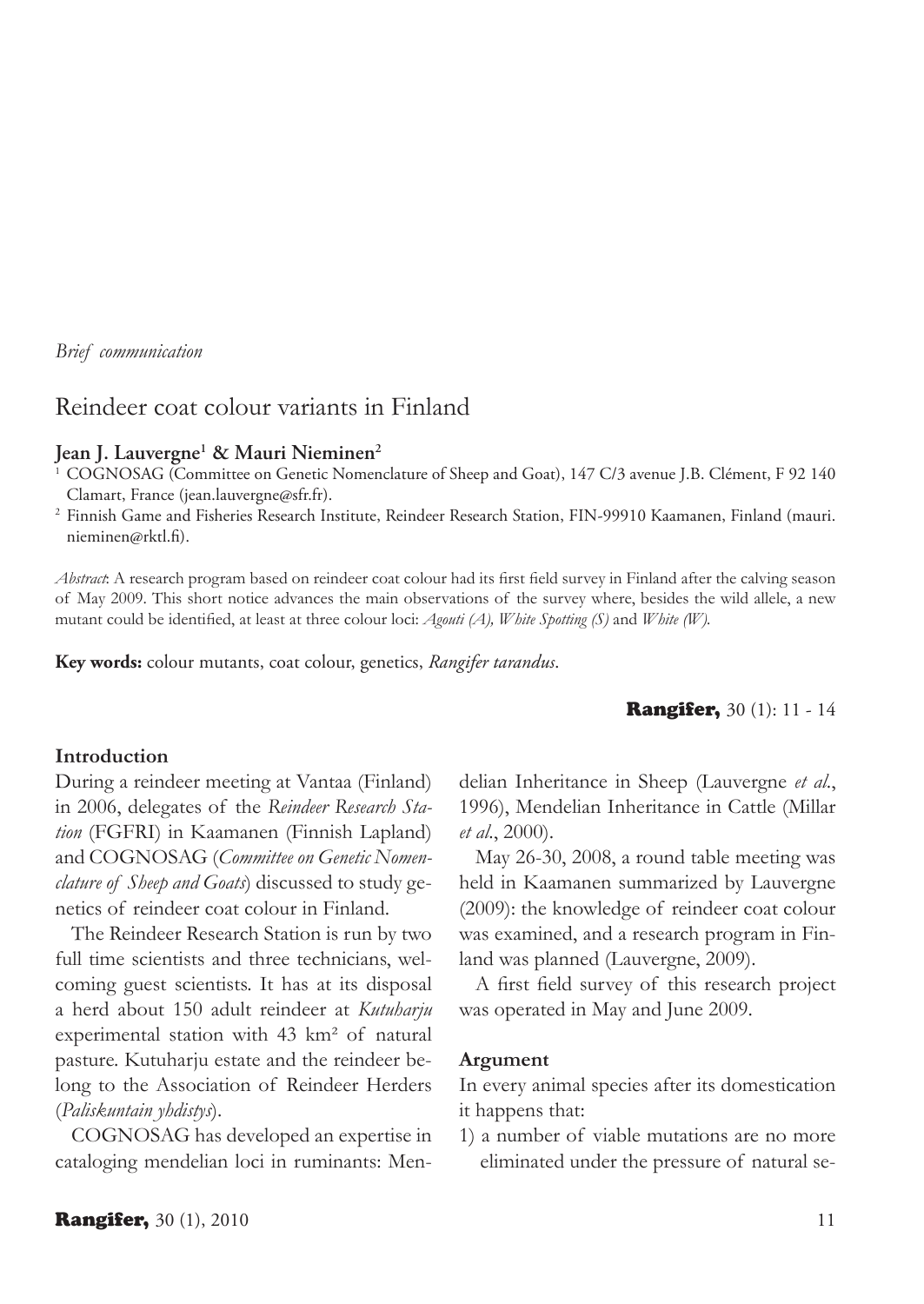*Brief communication*

# Reindeer coat colour variants in Finland

## **Jean J. Lauvergne1 & Mauri Nieminen2**

<sup>1</sup> COGNOSAG (Committee on Genetic Nomenclature of Sheep and Goat), 147 C/3 avenue J.B. Clément, F 92 140 Clamart, France (jean.lauvergne@sfr.fr).

<sup>2</sup> Finnish Game and Fisheries Research Institute, Reindeer Research Station, FIN-99910 Kaamanen, Finland (mauri. nieminen@rktl.fi).

*Abstract*: A research program based on reindeer coat colour had its first field survey in Finland after the calving season of May 2009. This short notice advances the main observations of the survey where, besides the wild allele, a new mutant could be identified, at least at three colour loci: *Agouti (A), White Spotting (S)* and *White (W).*

**Key words:** colour mutants, coat colour, genetics, *Rangifer tarandus*.

#### **Rangifer, 30 (1): 11 - 14**

### **Introduction**

During a reindeer meeting at Vantaa (Finland) in 2006, delegates of the *Reindeer Research Station* (FGFRI) in Kaamanen (Finnish Lapland) and COGNOSAG (*Committee on Genetic Nomenclature of Sheep and Goats*) discussed to study genetics of reindeer coat colour in Finland.

The Reindeer Research Station is run by two full time scientists and three technicians, welcoming guest scientists. It has at its disposal a herd about 150 adult reindeer at *Kutuharju* experimental station with 43 km² of natural pasture. Kutuharju estate and the reindeer belong to the Association of Reindeer Herders (*Paliskuntain yhdistys*).

COGNOSAG has developed an expertise in cataloging mendelian loci in ruminants: Mendelian Inheritance in Sheep (Lauvergne *et al*., 1996), Mendelian Inheritance in Cattle (Millar *et al*., 2000).

May 26-30, 2008, a round table meeting was held in Kaamanen summarized by Lauvergne (2009): the knowledge of reindeer coat colour was examined, and a research program in Finland was planned (Lauvergne, 2009).

A first field survey of this research project was operated in May and June 2009.

#### **Argument**

In every animal species after its domestication it happens that:

1) a number of viable mutations are no more eliminated under the pressure of natural se-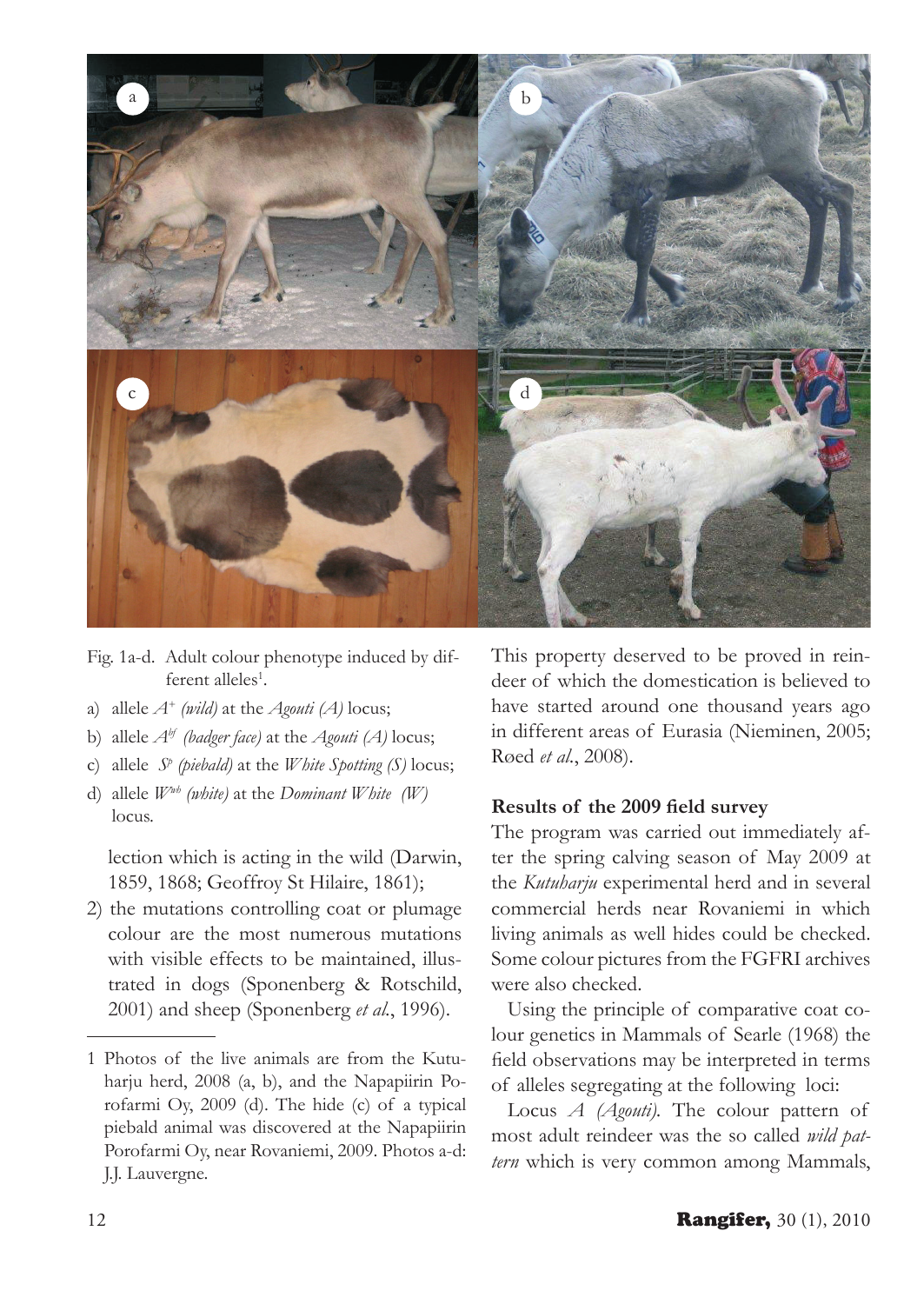

- Fig. 1a-d. Adult colour phenotype induced by different alleles<sup>1</sup>.
- a) allele *A+ (wild)* at the *Agouti (A)* locus;
- b) allele *Abf (badger face)* at the *Agouti (A)* locus;
- c) allele *Sp (piebald)* at the *White Spotting (S)* locus;
- d) allele *Wwh (white)* at the *Dominant White (W)* locus.

lection which is acting in the wild (Darwin, 1859, 1868; Geoffroy St Hilaire, 1861);

2) the mutations controlling coat or plumage colour are the most numerous mutations with visible effects to be maintained, illustrated in dogs (Sponenberg & Rotschild, 2001) and sheep (Sponenberg *et al.*, 1996).

1 Photos of the live animals are from the Kutuharju herd, 2008 (a, b), and the Napapiirin Porofarmi Oy, 2009 (d). The hide (c) of a typical piebald animal was discovered at the Napapiirin Porofarmi Oy, near Rovaniemi, 2009. Photos a-d: J.J. Lauvergne.

This property deserved to be proved in reindeer of which the domestication is believed to have started around one thousand years ago in different areas of Eurasia (Nieminen, 2005; Røed *et al.*, 2008).

## **Results of the 2009 field survey**

The program was carried out immediately after the spring calving season of May 2009 at the *Kutuharju* experimental herd and in several commercial herds near Rovaniemi in which living animals as well hides could be checked. Some colour pictures from the FGFRI archives were also checked.

Using the principle of comparative coat colour genetics in Mammals of Searle (1968) the field observations may be interpreted in terms of alleles segregating at the following loci:

Locus *A (Agouti).* The colour pattern of most adult reindeer was the so called *wild pattern* which is very common among Mammals,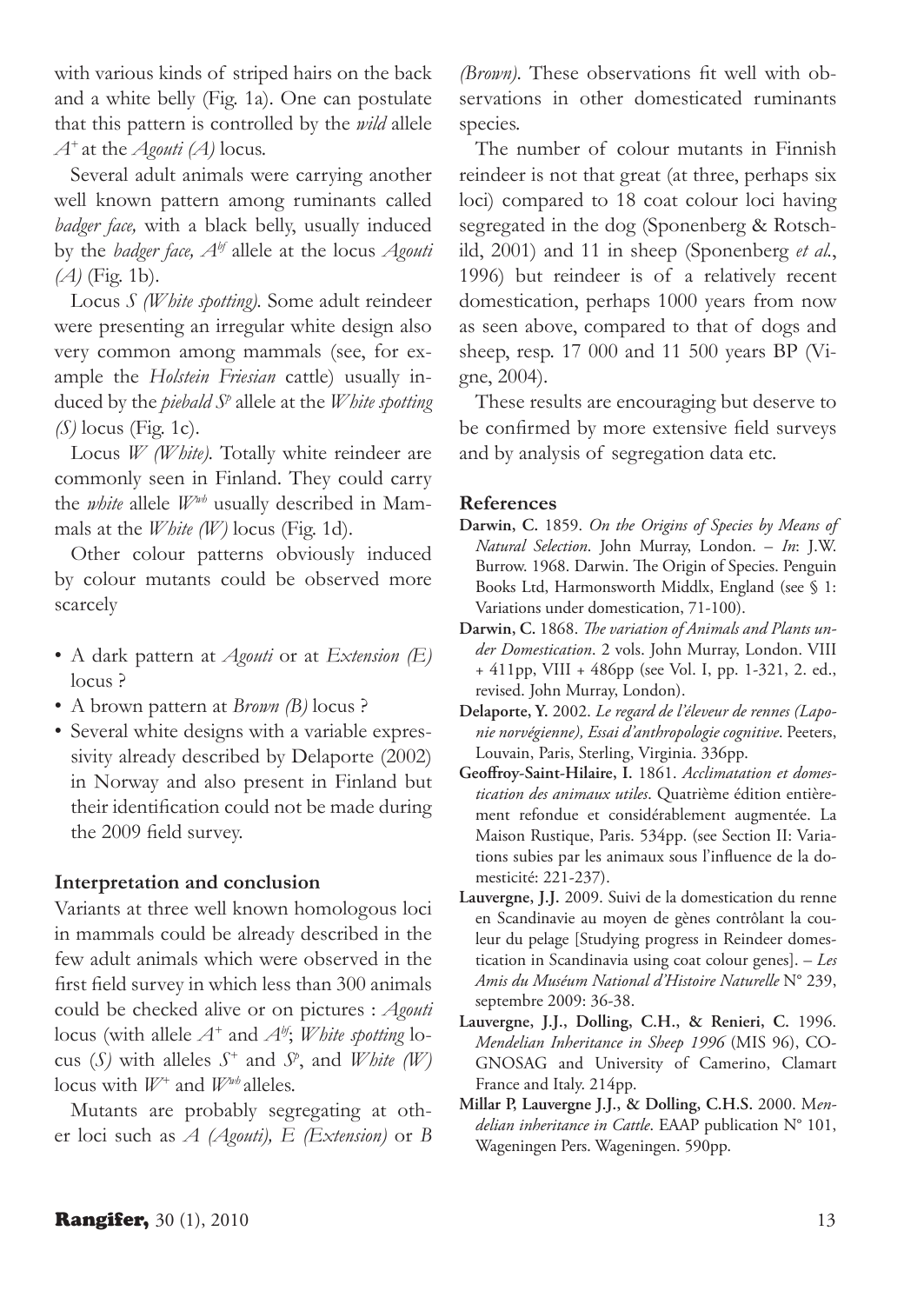with various kinds of striped hairs on the back and a white belly (Fig. 1a). One can postulate that this pattern is controlled by the *wild* allele *A+* at the *Agouti (A)* locus.

Several adult animals were carrying another well known pattern among ruminants called *badger face,* with a black belly, usually induced by the *badger face, Abf* allele at the locus *Agouti (A)* (Fig. 1b).

Locus *S (White spotting).* Some adult reindeer were presenting an irregular white design also very common among mammals (see, for example the *Holstein Friesian* cattle) usually induced by the *piebald Sp* allele at the *White spotting (S)* locus (Fig. 1c).

Locus *W (White)*. Totally white reindeer are commonly seen in Finland. They could carry the *white* allele *Wwh* usually described in Mammals at the *White (W)* locus (Fig. 1d).

Other colour patterns obviously induced by colour mutants could be observed more scarcely

- A dark pattern at *Agouti* or at *Extension (E)* locus ?
- A brown pattern at *Brown (B)* locus ?
- Several white designs with a variable expressivity already described by Delaporte (2002) in Norway and also present in Finland but their identification could not be made during the 2009 field survey.

## **Interpretation and conclusion**

Variants at three well known homologous loci in mammals could be already described in the few adult animals which were observed in the first field survey in which less than 300 animals could be checked alive or on pictures : *Agouti*  locus (with allele *A+* and *Abf*; *White spotting* locus (*S*) with alleles  $S^+$  and  $S^p$ , and *White* (*W*) locus with *W+* and *Wwh* alleles.

Mutants are probably segregating at other loci such as *A (Agouti), E (Extension)* or *B*  *(Brown)*. These observations fit well with observations in other domesticated ruminants species.

The number of colour mutants in Finnish reindeer is not that great (at three, perhaps six loci) compared to 18 coat colour loci having segregated in the dog (Sponenberg & Rotschild, 2001) and 11 in sheep (Sponenberg *et al.*, 1996) but reindeer is of a relatively recent domestication, perhaps 1000 years from now as seen above, compared to that of dogs and sheep, resp. 17 000 and 11 500 years BP (Vigne, 2004).

These results are encouraging but deserve to be confirmed by more extensive field surveys and by analysis of segregation data etc.

#### **References**

- **Darwin, C.** 1859. *On the Origins of Species by Means of Natural Selection*. John Murray, London. – *In*: J.W. Burrow. 1968. Darwin. The Origin of Species. Penguin Books Ltd, Harmonsworth Middlx, England (see § 1: Variations under domestication, 71-100).
- **Darwin, C.** 1868. *The variation of Animals and Plants under Domestication*. 2 vols. John Murray, London. VIII + 411pp, VIII + 486pp (see Vol. I, pp. 1-321, 2. ed., revised. John Murray, London).
- **Delaporte, Y.** 2002. *Le regard de l'éleveur de rennes (Laponie norvégienne), Essai d'anthropologie cognitive*. Peeters, Louvain, Paris, Sterling, Virginia. 336pp.
- **Geoffroy-Saint-Hilaire, I.** 1861. *Acclimatation et domestication des animaux utiles*. Quatrième édition entièrement refondue et considérablement augmentée. La Maison Rustique, Paris. 534pp. (see Section II: Variations subies par les animaux sous l'influence de la domesticité: 221-237).
- **Lauvergne, J.J.** 2009. Suivi de la domestication du renne en Scandinavie au moyen de gènes contrôlant la couleur du pelage [Studying progress in Reindeer domestication in Scandinavia using coat colour genes]. – *Les Amis du Muséum National d'Histoire Naturelle* N° 239, septembre 2009: 36-38.
- **Lauvergne, J.J., Dolling, C.H., & Renieri, C.** 1996. *Mendelian Inheritance in Sheep 1996* (MIS 96), CO-GNOSAG and University of Camerino, Clamart France and Italy. 214pp.
- **Millar P, Lauvergne J.J., & Dolling, C.H.S.** 2000. M*endelian inheritance in Cattle*. EAAP publication N° 101, Wageningen Pers. Wageningen. 590pp.